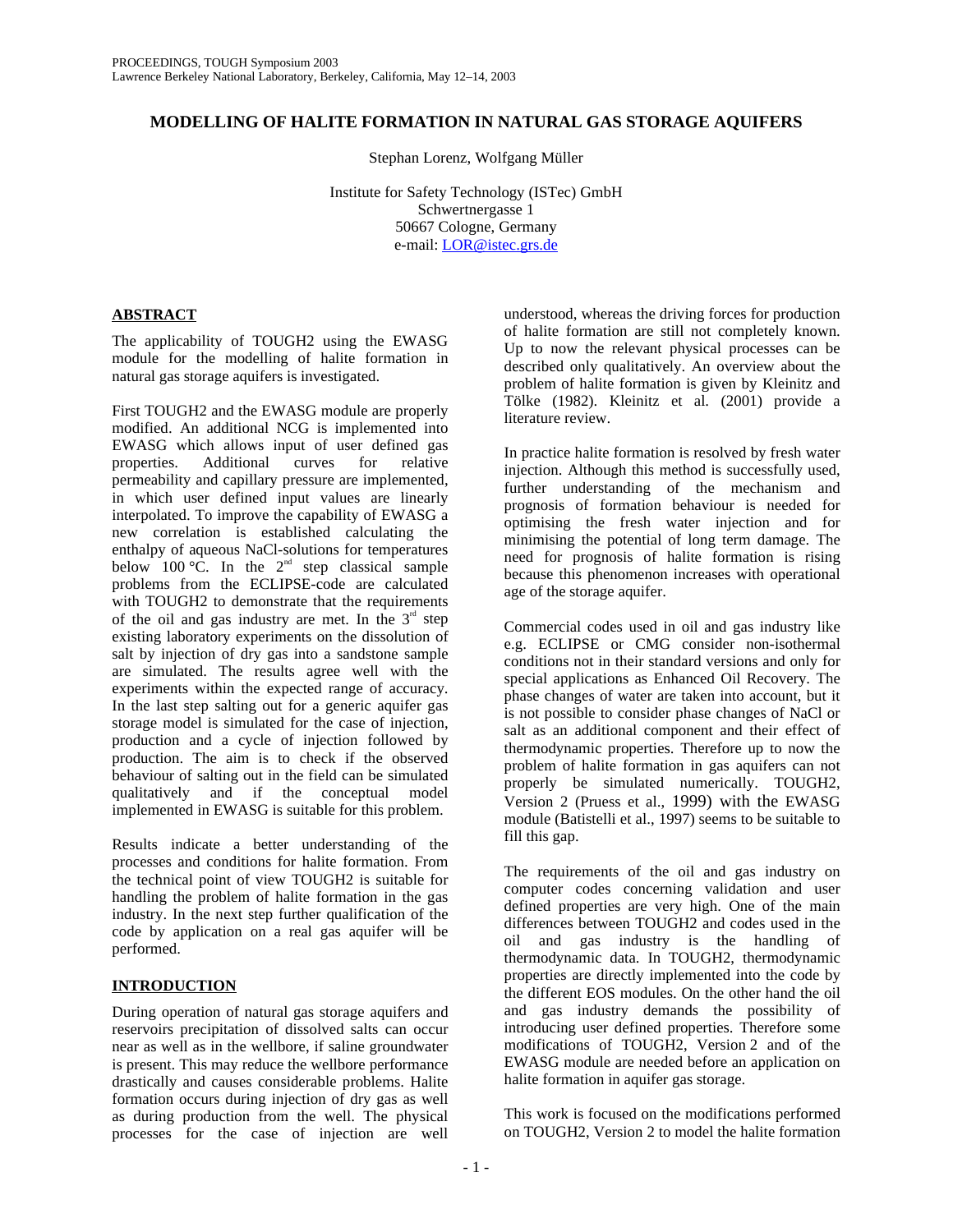# **MODELLING OF HALITE FORMATION IN NATURAL GAS STORAGE AQUIFERS**

Stephan Lorenz, Wolfgang Müller

Institute for Safety Technology (ISTec) GmbH Schwertnergasse 1 50667 Cologne, Germany e-mail: LOR@istec.grs.de

# **ABSTRACT**

The applicability of TOUGH2 using the EWASG module for the modelling of halite formation in natural gas storage aquifers is investigated.

First TOUGH2 and the EWASG module are properly modified. An additional NCG is implemented into EWASG which allows input of user defined gas properties. Additional curves for relative permeability and capillary pressure are implemented, in which user defined input values are linearly interpolated. To improve the capability of EWASG a new correlation is established calculating the enthalpy of aqueous NaCl-solutions for temperatures below 100  $^{\circ}$ C. In the  $2^{\text{nd}}$  step classical sample problems from the ECLIPSE-code are calculated with TOUGH2 to demonstrate that the requirements of the oil and gas industry are met. In the  $3<sup>rd</sup>$  step existing laboratory experiments on the dissolution of salt by injection of dry gas into a sandstone sample are simulated. The results agree well with the experiments within the expected range of accuracy. In the last step salting out for a generic aquifer gas storage model is simulated for the case of injection, production and a cycle of injection followed by production. The aim is to check if the observed behaviour of salting out in the field can be simulated qualitatively and if the conceptual model implemented in EWASG is suitable for this problem.

Results indicate a better understanding of the processes and conditions for halite formation. From the technical point of view TOUGH2 is suitable for handling the problem of halite formation in the gas industry. In the next step further qualification of the code by application on a real gas aquifer will be performed.

# **INTRODUCTION**

During operation of natural gas storage aquifers and reservoirs precipitation of dissolved salts can occur near as well as in the wellbore, if saline groundwater is present. This may reduce the wellbore performance drastically and causes considerable problems. Halite formation occurs during injection of dry gas as well as during production from the well. The physical processes for the case of injection are well

understood, whereas the driving forces for production of halite formation are still not completely known. Up to now the relevant physical processes can be described only qualitatively. An overview about the problem of halite formation is given by Kleinitz and Tölke (1982). Kleinitz et al. (2001) provide a literature review.

In practice halite formation is resolved by fresh water injection. Although this method is successfully used, further understanding of the mechanism and prognosis of formation behaviour is needed for optimising the fresh water injection and for minimising the potential of long term damage. The need for prognosis of halite formation is rising because this phenomenon increases with operational age of the storage aquifer.

Commercial codes used in oil and gas industry like e.g. ECLIPSE or CMG consider non-isothermal conditions not in their standard versions and only for special applications as Enhanced Oil Recovery. The phase changes of water are taken into account, but it is not possible to consider phase changes of NaCl or salt as an additional component and their effect of thermodynamic properties. Therefore up to now the problem of halite formation in gas aquifers can not properly be simulated numerically. TOUGH2, Version 2 (Pruess et al., 1999) with the EWASG module (Batistelli et al., 1997) seems to be suitable to fill this gap.

The requirements of the oil and gas industry on computer codes concerning validation and user defined properties are very high. One of the main differences between TOUGH2 and codes used in the oil and gas industry is the handling of thermodynamic data. In TOUGH2, thermodynamic properties are directly implemented into the code by the different EOS modules. On the other hand the oil and gas industry demands the possibility of introducing user defined properties. Therefore some modifications of TOUGH2, Version 2 and of the EWASG module are needed before an application on halite formation in aquifer gas storage.

This work is focused on the modifications performed on TOUGH2, Version 2 to model the halite formation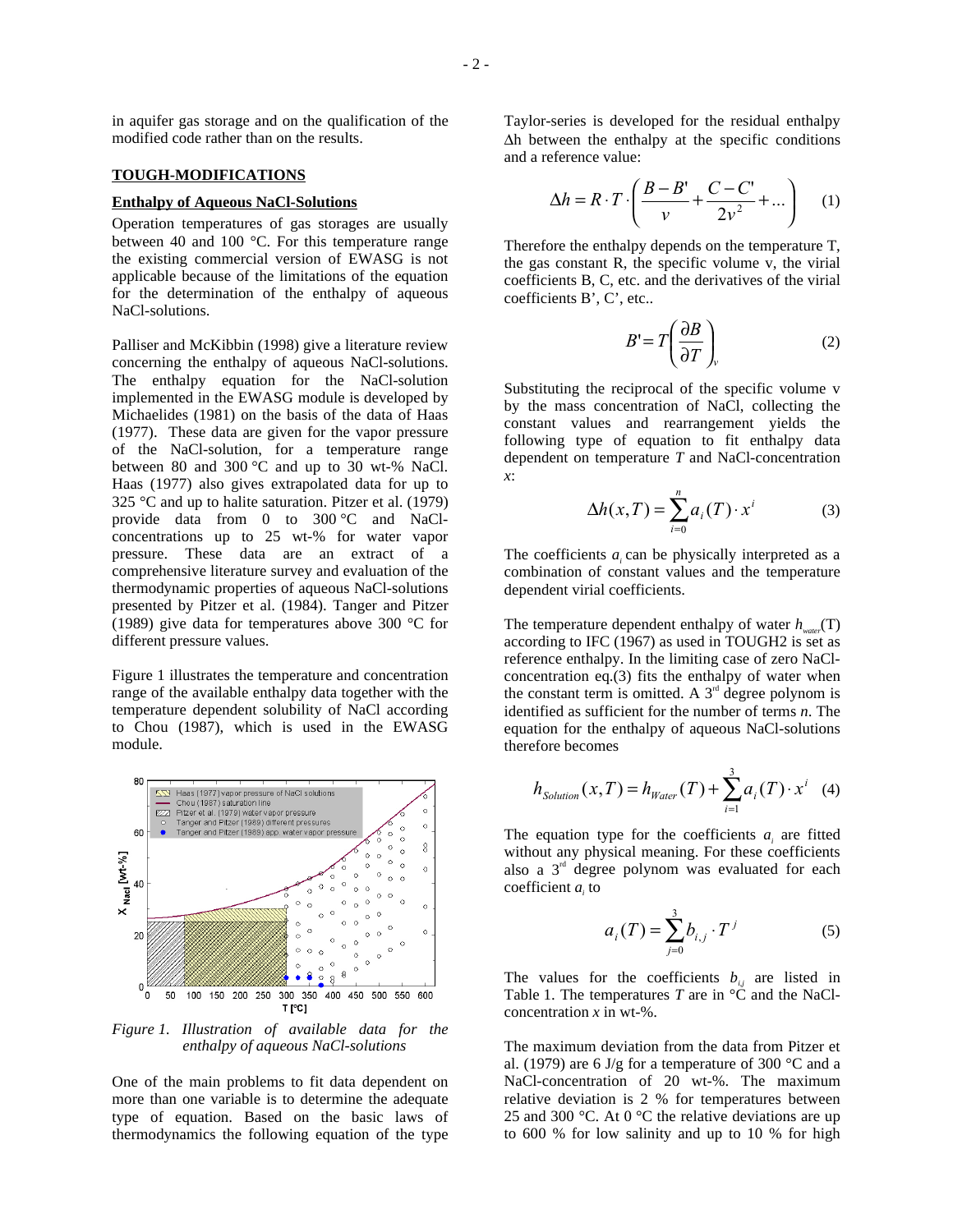in aquifer gas storage and on the qualification of the modified code rather than on the results.

## **TOUGH-MODIFICATIONS**

### **Enthalpy of Aqueous NaCl-Solutions**

Operation temperatures of gas storages are usually between 40 and 100 °C. For this temperature range the existing commercial version of EWASG is not applicable because of the limitations of the equation for the determination of the enthalpy of aqueous NaCl-solutions.

Palliser and McKibbin (1998) give a literature review concerning the enthalpy of aqueous NaCl-solutions. The enthalpy equation for the NaCl-solution implemented in the EWASG module is developed by Michaelides (1981) on the basis of the data of Haas (1977). These data are given for the vapor pressure of the NaCl-solution, for a temperature range between 80 and 300 °C and up to 30 wt-% NaCl. Haas (1977) also gives extrapolated data for up to 325 °C and up to halite saturation. Pitzer et al. (1979) provide data from 0 to 300 °C and NaClconcentrations up to 25 wt-% for water vapor pressure. These data are an extract of a comprehensive literature survey and evaluation of the thermodynamic properties of aqueous NaCl-solutions presented by Pitzer et al. (1984). Tanger and Pitzer (1989) give data for temperatures above 300 °C for different pressure values.

Figure 1 illustrates the temperature and concentration range of the available enthalpy data together with the temperature dependent solubility of NaCl according to Chou (1987), which is used in the EWASG module.



*Figure 1. Illustration of available data for the enthalpy of aqueous NaCl-solutions* 

One of the main problems to fit data dependent on more than one variable is to determine the adequate type of equation. Based on the basic laws of thermodynamics the following equation of the type Taylor-series is developed for the residual enthalpy ∆h between the enthalpy at the specific conditions and a reference value:

$$
\Delta h = R \cdot T \cdot \left( \frac{B - B'}{v} + \frac{C - C'}{2v^2} + \dots \right) \tag{1}
$$

Therefore the enthalpy depends on the temperature T, the gas constant R, the specific volume v, the virial coefficients B, C, etc. and the derivatives of the virial coefficients B', C', etc..

$$
B' = T \left( \frac{\partial B}{\partial T} \right)_v \tag{2}
$$

Substituting the reciprocal of the specific volume v by the mass concentration of NaCl, collecting the constant values and rearrangement yields the following type of equation to fit enthalpy data dependent on temperature *T* and NaCl-concentration *x*:

$$
\Delta h(x,T) = \sum_{i=0}^{n} a_i(T) \cdot x^i \tag{3}
$$

The coefficients  $a_i$  can be physically interpreted as a combination of constant values and the temperature dependent virial coefficients.

The temperature dependent enthalpy of water  $h_{water}(\text{T})$ according to IFC (1967) as used in TOUGH2 is set as reference enthalpy. In the limiting case of zero NaClconcentration eq.(3) fits the enthalpy of water when the constant term is omitted. A  $3<sup>rd</sup>$  degree polynom is identified as sufficient for the number of terms *n*. The equation for the enthalpy of aqueous NaCl-solutions therefore becomes

$$
h_{Solution}(x,T) = h_{Water}(T) + \sum_{i=1}^{3} a_i(T) \cdot x^i \quad (4)
$$

The equation type for the coefficients  $a_i$  are fitted without any physical meaning. For these coefficients also a  $3<sup>rd</sup>$  degree polynom was evaluated for each coefficient *ai* to

$$
a_i(T) = \sum_{j=0}^{3} b_{i,j} \cdot T^j
$$
 (5)

The values for the coefficients  $b_{ij}$  are listed in Table 1. The temperatures *T* are in  $\rm{^{\circ}C}$  and the NaClconcentration *x* in wt-%.

The maximum deviation from the data from Pitzer et al. (1979) are 6 J/g for a temperature of 300  $^{\circ}$ C and a NaCl-concentration of 20 wt-%. The maximum relative deviation is 2 % for temperatures between 25 and 300 °C. At 0 °C the relative deviations are up to 600 % for low salinity and up to 10 % for high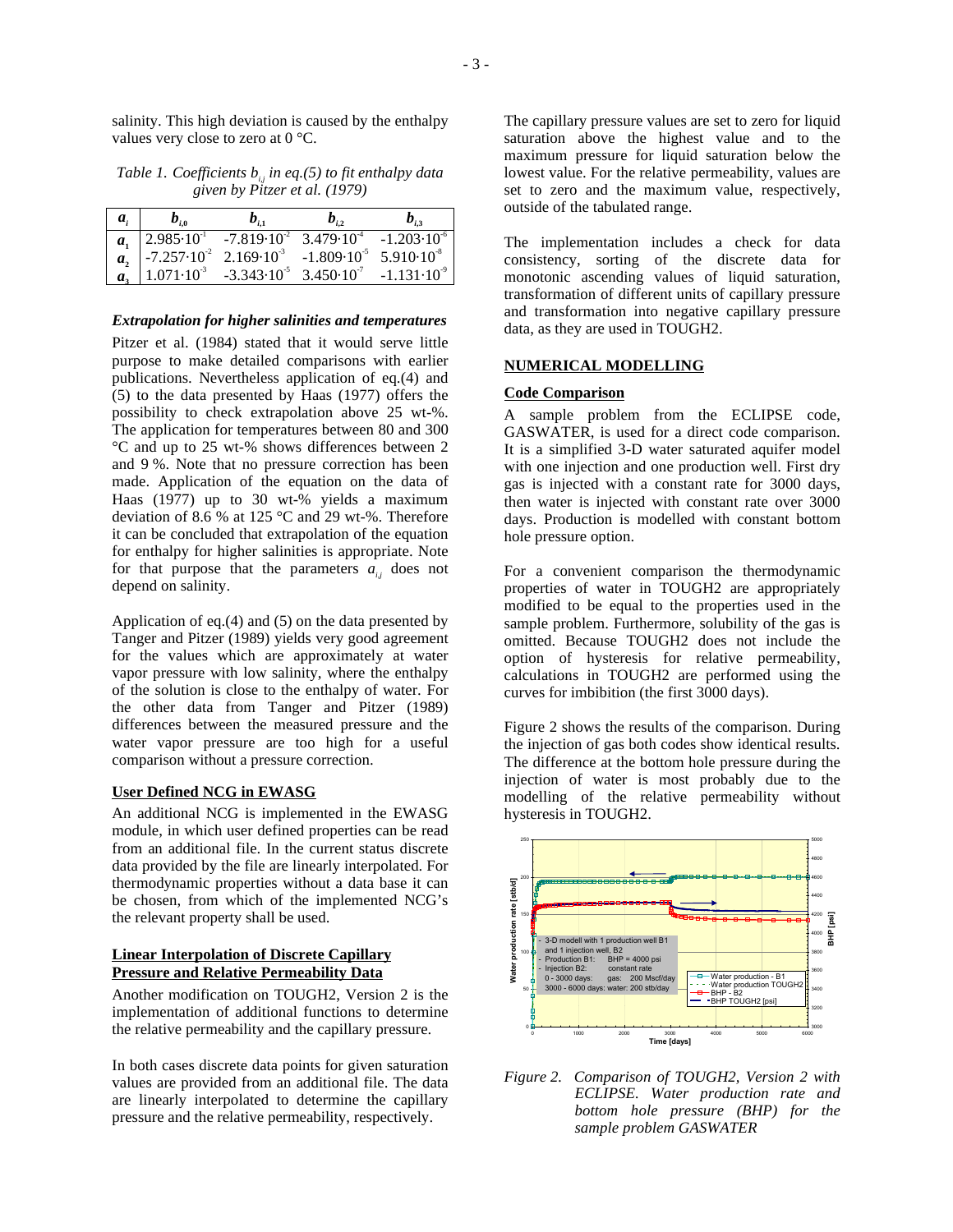salinity. This high deviation is caused by the enthalpy values very close to zero at 0 °C.

# *Table 1. Coefficients*  $b_{ij}$  *in eq.(5) to fit enthalpy data given by Pitzer et al. (1979)*

| $a_{i}$ | $b_{i,0}$                     | $\bm{b}_{i,1}$                                                                                                          | $b_{i,2}$ | $b_{i}$                |
|---------|-------------------------------|-------------------------------------------------------------------------------------------------------------------------|-----------|------------------------|
|         | $a_1$   2.985 $\cdot 10^{-1}$ | $-7.819 \cdot 10^{2}$ 3.479 $\cdot 10^{4}$                                                                              |           | $-1.203 \cdot 10^{-6}$ |
| $a_{2}$ |                               | $\begin{bmatrix} -7.257 \cdot 10^{-2} & 2.169 \cdot 10^{-3} & -1.809 \cdot 10^{-5} & 5.910 \cdot 10^{-8} \end{bmatrix}$ |           |                        |
| $a_{1}$ |                               | $1.071 \cdot 10^{3}$ -3.343 $\cdot 10^{5}$ 3.450 $\cdot 10^{7}$ -1.131 $\cdot 10^{9}$                                   |           |                        |

#### *Extrapolation for higher salinities and temperatures*

Pitzer et al. (1984) stated that it would serve little purpose to make detailed comparisons with earlier publications. Nevertheless application of eq.(4) and (5) to the data presented by Haas (1977) offers the possibility to check extrapolation above 25 wt-%. The application for temperatures between 80 and 300 °C and up to 25 wt-% shows differences between 2 and 9 %. Note that no pressure correction has been made. Application of the equation on the data of Haas (1977) up to 30 wt-% yields a maximum deviation of 8.6 % at 125 °C and 29 wt-%. Therefore it can be concluded that extrapolation of the equation for enthalpy for higher salinities is appropriate. Note for that purpose that the parameters  $a_{ij}$  does not depend on salinity.

Application of eq.(4) and (5) on the data presented by Tanger and Pitzer (1989) yields very good agreement for the values which are approximately at water vapor pressure with low salinity, where the enthalpy of the solution is close to the enthalpy of water. For the other data from Tanger and Pitzer (1989) differences between the measured pressure and the water vapor pressure are too high for a useful comparison without a pressure correction.

#### **User Defined NCG in EWASG**

An additional NCG is implemented in the EWASG module, in which user defined properties can be read from an additional file. In the current status discrete data provided by the file are linearly interpolated. For thermodynamic properties without a data base it can be chosen, from which of the implemented NCG's the relevant property shall be used.

## **Linear Interpolation of Discrete Capillary Pressure and Relative Permeability Data**

Another modification on TOUGH2, Version 2 is the implementation of additional functions to determine the relative permeability and the capillary pressure.

In both cases discrete data points for given saturation values are provided from an additional file. The data are linearly interpolated to determine the capillary pressure and the relative permeability, respectively.

The capillary pressure values are set to zero for liquid saturation above the highest value and to the maximum pressure for liquid saturation below the lowest value. For the relative permeability, values are set to zero and the maximum value, respectively, outside of the tabulated range.

The implementation includes a check for data consistency, sorting of the discrete data for monotonic ascending values of liquid saturation, transformation of different units of capillary pressure and transformation into negative capillary pressure data, as they are used in TOUGH2.

### **NUMERICAL MODELLING**

#### **Code Comparison**

A sample problem from the ECLIPSE code, GASWATER, is used for a direct code comparison. It is a simplified 3-D water saturated aquifer model with one injection and one production well. First dry gas is injected with a constant rate for 3000 days, then water is injected with constant rate over 3000 days. Production is modelled with constant bottom hole pressure option.

For a convenient comparison the thermodynamic properties of water in TOUGH2 are appropriately modified to be equal to the properties used in the sample problem. Furthermore, solubility of the gas is omitted. Because TOUGH2 does not include the option of hysteresis for relative permeability, calculations in TOUGH2 are performed using the curves for imbibition (the first 3000 days).

Figure 2 shows the results of the comparison. During the injection of gas both codes show identical results. The difference at the bottom hole pressure during the injection of water is most probably due to the modelling of the relative permeability without hysteresis in TOUGH2.



*Figure 2. Comparison of TOUGH2, Version 2 with ECLIPSE. Water production rate and bottom hole pressure (BHP) for the sample problem GASWATER*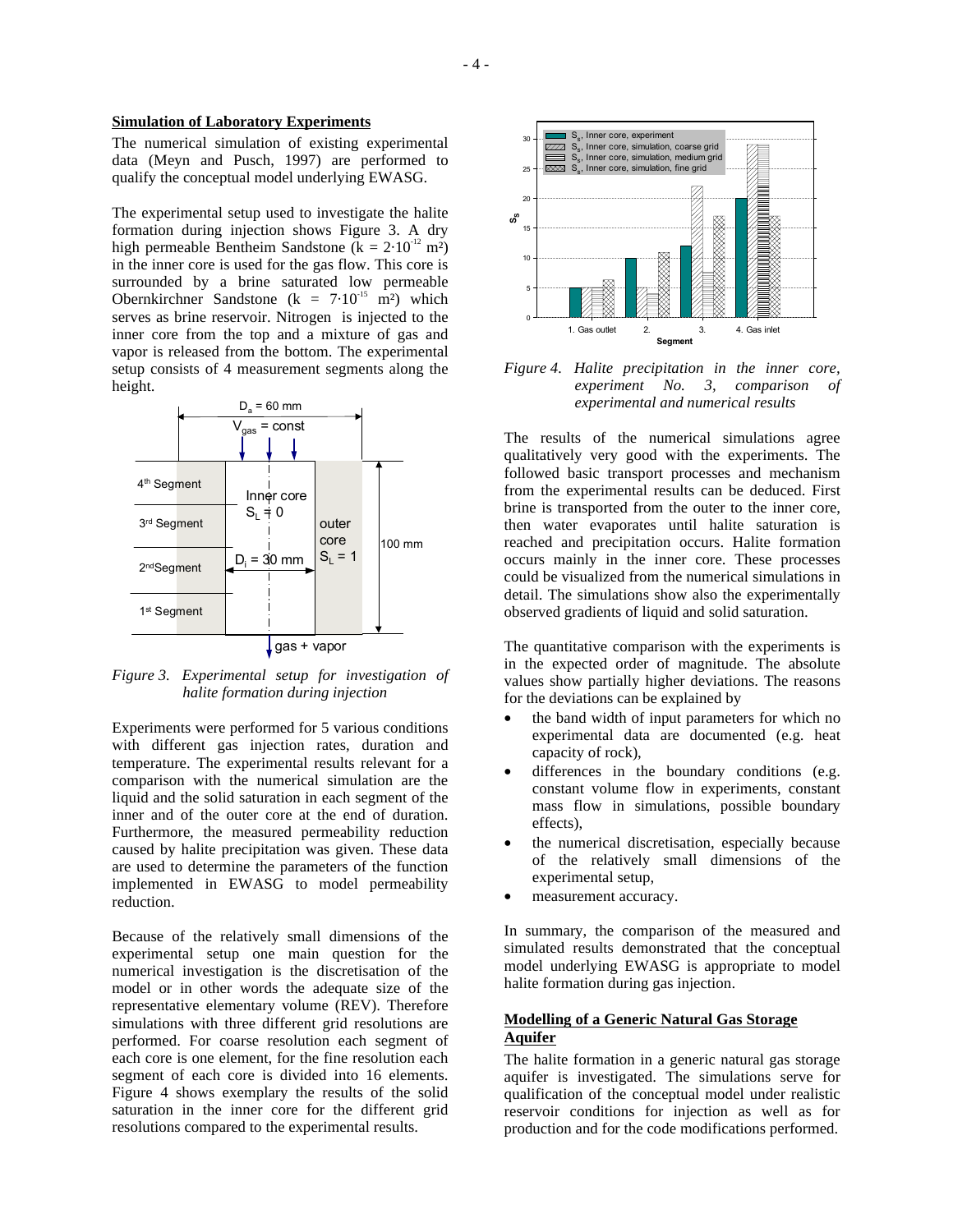### **Simulation of Laboratory Experiments**

The numerical simulation of existing experimental data (Meyn and Pusch, 1997) are performed to qualify the conceptual model underlying EWASG.

The experimental setup used to investigate the halite formation during injection shows Figure 3. A dry high permeable Bentheim Sandstone ( $k = 2.10^{-12}$  m<sup>2</sup>) in the inner core is used for the gas flow. This core is surrounded by a brine saturated low permeable Obernkirchner Sandstone (k =  $7.10^{-15}$  m<sup>2</sup>) which serves as brine reservoir. Nitrogen is injected to the inner core from the top and a mixture of gas and vapor is released from the bottom. The experimental setup consists of 4 measurement segments along the height.



*Figure 3. Experimental setup for investigation of halite formation during injection* 

Experiments were performed for 5 various conditions with different gas injection rates, duration and temperature. The experimental results relevant for a comparison with the numerical simulation are the liquid and the solid saturation in each segment of the inner and of the outer core at the end of duration. Furthermore, the measured permeability reduction caused by halite precipitation was given. These data are used to determine the parameters of the function implemented in EWASG to model permeability reduction.

Because of the relatively small dimensions of the experimental setup one main question for the numerical investigation is the discretisation of the model or in other words the adequate size of the representative elementary volume (REV). Therefore simulations with three different grid resolutions are performed. For coarse resolution each segment of each core is one element, for the fine resolution each segment of each core is divided into 16 elements. Figure 4 shows exemplary the results of the solid saturation in the inner core for the different grid resolutions compared to the experimental results.



*Figure 4. Halite precipitation in the inner core, experiment No. 3, comparison of experimental and numerical results* 

The results of the numerical simulations agree qualitatively very good with the experiments. The followed basic transport processes and mechanism from the experimental results can be deduced. First brine is transported from the outer to the inner core, then water evaporates until halite saturation is reached and precipitation occurs. Halite formation occurs mainly in the inner core. These processes could be visualized from the numerical simulations in detail. The simulations show also the experimentally observed gradients of liquid and solid saturation.

The quantitative comparison with the experiments is in the expected order of magnitude. The absolute values show partially higher deviations. The reasons for the deviations can be explained by

- the band width of input parameters for which no experimental data are documented (e.g. heat capacity of rock),
- differences in the boundary conditions (e.g. constant volume flow in experiments, constant mass flow in simulations, possible boundary effects),
- the numerical discretisation, especially because of the relatively small dimensions of the experimental setup,
- measurement accuracy.

In summary, the comparison of the measured and simulated results demonstrated that the conceptual model underlying EWASG is appropriate to model halite formation during gas injection.

# **Modelling of a Generic Natural Gas Storage Aquifer**

The halite formation in a generic natural gas storage aquifer is investigated. The simulations serve for qualification of the conceptual model under realistic reservoir conditions for injection as well as for production and for the code modifications performed.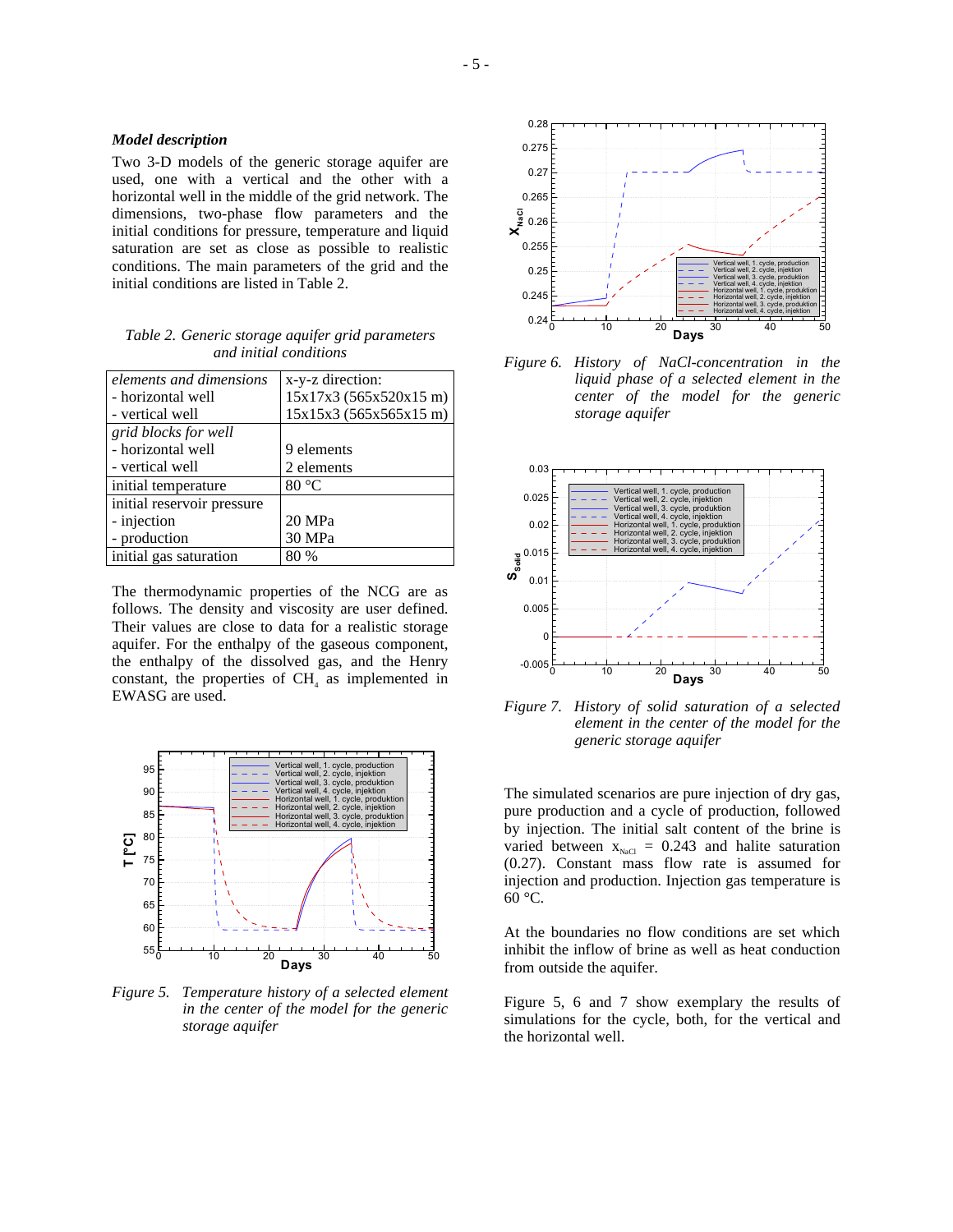#### *Model description*

Two 3-D models of the generic storage aquifer are used, one with a vertical and the other with a horizontal well in the middle of the grid network. The dimensions, two-phase flow parameters and the initial conditions for pressure, temperature and liquid saturation are set as close as possible to realistic conditions. The main parameters of the grid and the initial conditions are listed in Table 2.

| Table 2. Generic storage aquifer grid parameters |
|--------------------------------------------------|
| and initial conditions                           |

| elements and dimensions    | x-y-z direction:       |
|----------------------------|------------------------|
| - horizontal well          | 15x17x3 (565x520x15 m) |
| - vertical well            | 15x15x3(565x565x15m)   |
| grid blocks for well       |                        |
| - horizontal well          | 9 elements             |
| - vertical well            | 2 elements             |
| initial temperature        | 80 °C                  |
| initial reservoir pressure |                        |
| - injection                | 20 MPa                 |
| - production               | 30 MPa                 |
| initial gas saturation     | 80 %                   |

The thermodynamic properties of the NCG are as follows. The density and viscosity are user defined. Their values are close to data for a realistic storage aquifer. For the enthalpy of the gaseous component, the enthalpy of the dissolved gas, and the Henry constant, the properties of  $CH<sub>4</sub>$  as implemented in EWASG are used.



*Figure 5. Temperature history of a selected element in the center of the model for the generic storage aquifer* 



*Figure 6. History of NaCl-concentration in the liquid phase of a selected element in the center of the model for the generic storage aquifer* 



*Figure 7. History of solid saturation of a selected element in the center of the model for the generic storage aquifer* 

The simulated scenarios are pure injection of dry gas, pure production and a cycle of production, followed by injection. The initial salt content of the brine is varied between  $x_{\text{NaCl}} = 0.243$  and halite saturation (0.27). Constant mass flow rate is assumed for injection and production. Injection gas temperature is 60 °C.

At the boundaries no flow conditions are set which inhibit the inflow of brine as well as heat conduction from outside the aquifer.

Figure 5, 6 and 7 show exemplary the results of simulations for the cycle, both, for the vertical and the horizontal well.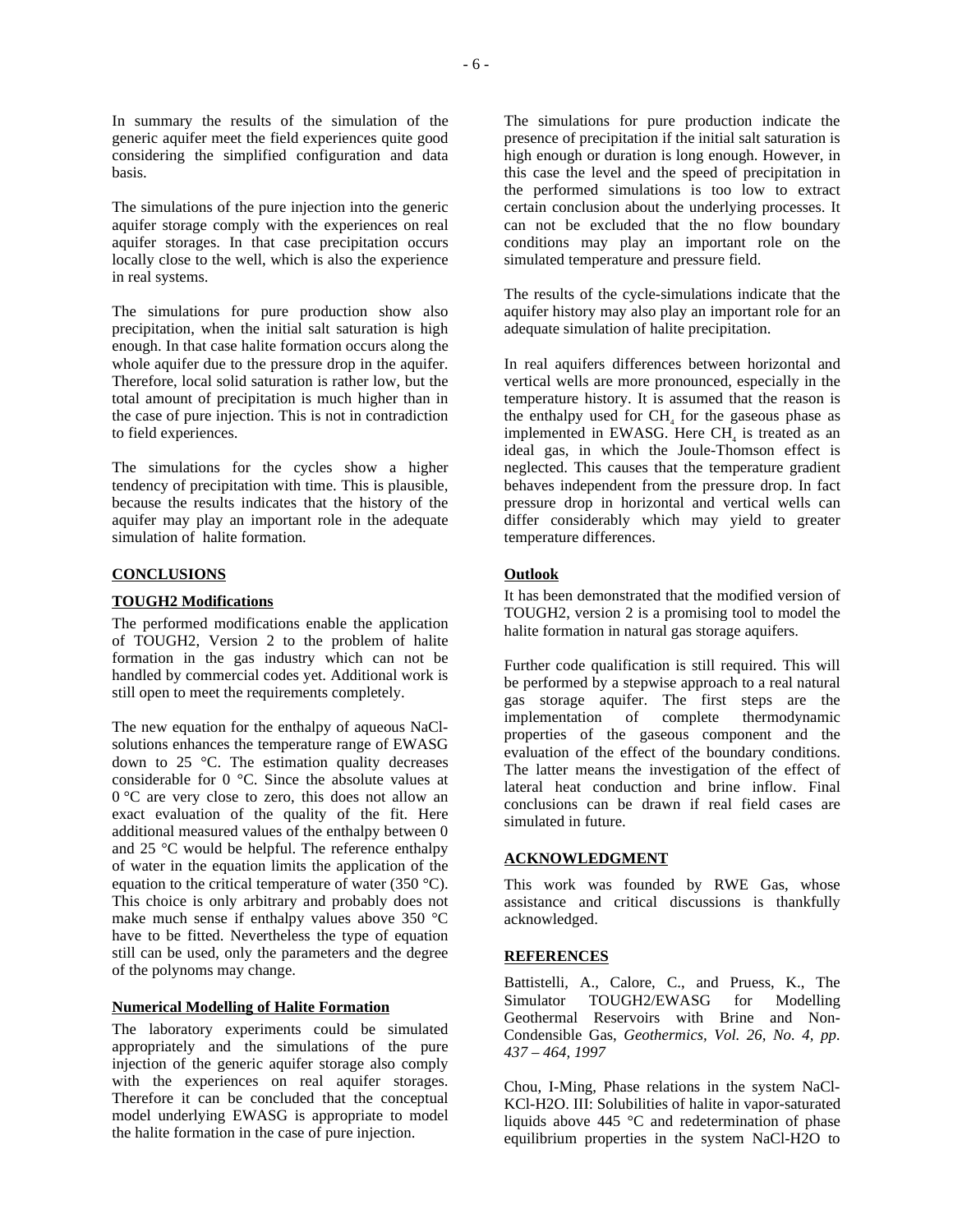In summary the results of the simulation of the generic aquifer meet the field experiences quite good considering the simplified configuration and data basis.

The simulations of the pure injection into the generic aquifer storage comply with the experiences on real aquifer storages. In that case precipitation occurs locally close to the well, which is also the experience in real systems.

The simulations for pure production show also precipitation, when the initial salt saturation is high enough. In that case halite formation occurs along the whole aquifer due to the pressure drop in the aquifer. Therefore, local solid saturation is rather low, but the total amount of precipitation is much higher than in the case of pure injection. This is not in contradiction to field experiences.

The simulations for the cycles show a higher tendency of precipitation with time. This is plausible, because the results indicates that the history of the aquifer may play an important role in the adequate simulation of halite formation.

### **CONCLUSIONS**

### **TOUGH2 Modifications**

The performed modifications enable the application of TOUGH2, Version 2 to the problem of halite formation in the gas industry which can not be handled by commercial codes yet. Additional work is still open to meet the requirements completely.

The new equation for the enthalpy of aqueous NaClsolutions enhances the temperature range of EWASG down to 25 °C. The estimation quality decreases considerable for 0 °C. Since the absolute values at 0 °C are very close to zero, this does not allow an exact evaluation of the quality of the fit. Here additional measured values of the enthalpy between 0 and 25 °C would be helpful. The reference enthalpy of water in the equation limits the application of the equation to the critical temperature of water (350  $^{\circ}$ C). This choice is only arbitrary and probably does not make much sense if enthalpy values above 350 °C have to be fitted. Nevertheless the type of equation still can be used, only the parameters and the degree of the polynoms may change.

#### **Numerical Modelling of Halite Formation**

The laboratory experiments could be simulated appropriately and the simulations of the pure injection of the generic aquifer storage also comply with the experiences on real aquifer storages. Therefore it can be concluded that the conceptual model underlying EWASG is appropriate to model the halite formation in the case of pure injection.

The simulations for pure production indicate the presence of precipitation if the initial salt saturation is high enough or duration is long enough. However, in this case the level and the speed of precipitation in the performed simulations is too low to extract certain conclusion about the underlying processes. It can not be excluded that the no flow boundary conditions may play an important role on the simulated temperature and pressure field.

The results of the cycle-simulations indicate that the aquifer history may also play an important role for an adequate simulation of halite precipitation.

In real aquifers differences between horizontal and vertical wells are more pronounced, especially in the temperature history. It is assumed that the reason is the enthalpy used for  $CH<sub>4</sub>$  for the gaseous phase as implemented in EWASG. Here CH<sub>4</sub> is treated as an ideal gas, in which the Joule-Thomson effect is neglected. This causes that the temperature gradient behaves independent from the pressure drop. In fact pressure drop in horizontal and vertical wells can differ considerably which may yield to greater temperature differences.

# **Outlook**

It has been demonstrated that the modified version of TOUGH2, version 2 is a promising tool to model the halite formation in natural gas storage aquifers.

Further code qualification is still required. This will be performed by a stepwise approach to a real natural gas storage aquifer. The first steps are the implementation of complete thermodynamic properties of the gaseous component and the evaluation of the effect of the boundary conditions. The latter means the investigation of the effect of lateral heat conduction and brine inflow. Final conclusions can be drawn if real field cases are simulated in future.

### **ACKNOWLEDGMENT**

This work was founded by RWE Gas, whose assistance and critical discussions is thankfully acknowledged.

### **REFERENCES**

Battistelli, A., Calore, C., and Pruess, K., The Simulator TOUGH2/EWASG for Modelling Geothermal Reservoirs with Brine and Non-Condensible Gas, *Geothermics, Vol. 26, No. 4, pp. 437 – 464, 1997*

Chou, I-Ming, Phase relations in the system NaCl-KCl-H2O. III: Solubilities of halite in vapor-saturated liquids above 445 °C and redetermination of phase equilibrium properties in the system NaCl-H2O to